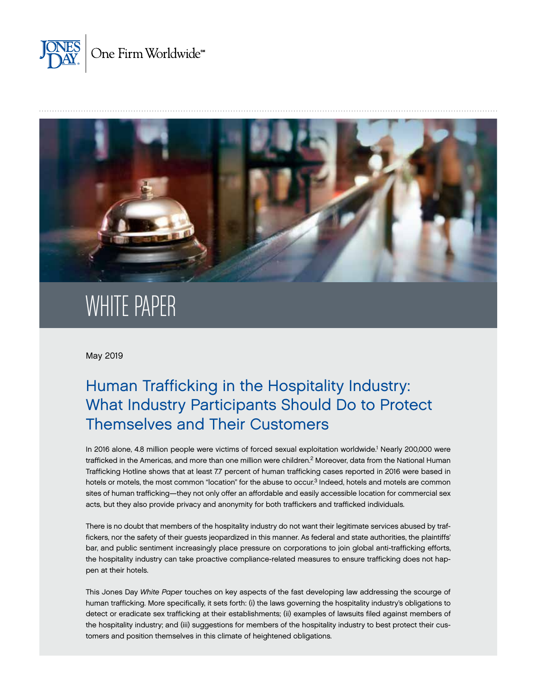



# WHITE PAPER

May 2019

# Human Trafficking in the Hospitality Industry: What Industry Participants Should Do to Protect Themselves and Their Customers

In 2016 alone, 4.8 million people were victims of forced sexual exploitation worldwide.<sup>1</sup> Nearly 200,000 were trafficked in the Americas, and more than one million were children.<sup>2</sup> Moreover, data from the National Human Trafficking Hotline shows that at least 7.7 percent of human trafficking cases reported in 2016 were based in hotels or motels, the most common "location" for the abuse to occur.<sup>3</sup> Indeed, hotels and motels are common sites of human trafficking—they not only offer an affordable and easily accessible location for commercial sex acts, but they also provide privacy and anonymity for both traffickers and trafficked individuals.

There is no doubt that members of the hospitality industry do not want their legitimate services abused by traffickers, nor the safety of their guests jeopardized in this manner. As federal and state authorities, the plaintiffs' bar, and public sentiment increasingly place pressure on corporations to join global anti-trafficking efforts, the hospitality industry can take proactive compliance-related measures to ensure trafficking does not happen at their hotels.

This Jones Day *White Paper* touches on key aspects of the fast developing law addressing the scourge of human trafficking. More specifically, it sets forth: (i) the laws governing the hospitality industry's obligations to detect or eradicate sex trafficking at their establishments; (ii) examples of lawsuits filed against members of the hospitality industry; and (iii) suggestions for members of the hospitality industry to best protect their customers and position themselves in this climate of heightened obligations.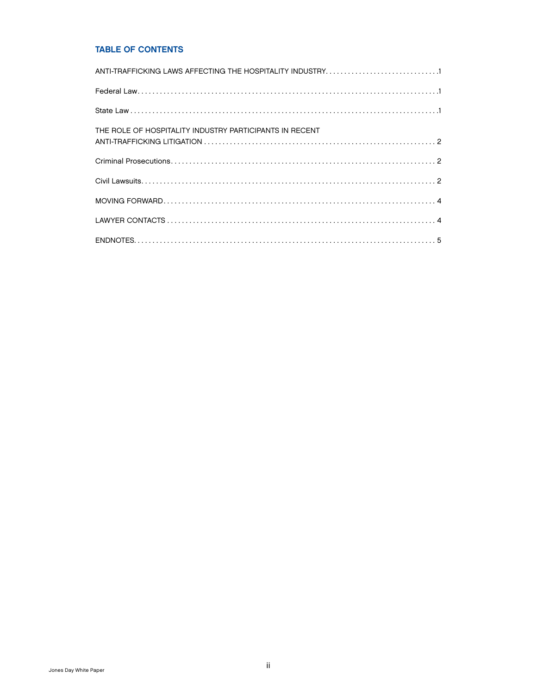### TABLE OF CONTENTS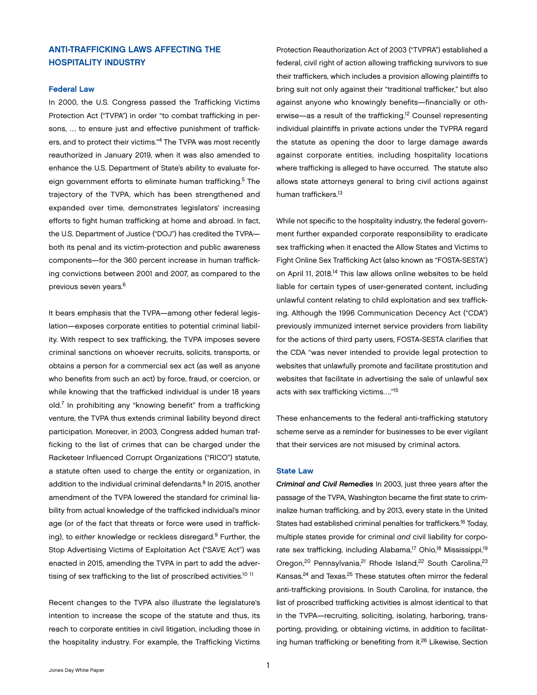## <span id="page-2-0"></span>ANTI-TRAFFICKING LAWS AFFECTING THE HOSPITALITY INDUSTRY

#### Federal Law

In 2000, the U.S. Congress passed the Trafficking Victims Protection Act ("TVPA") in order "to combat trafficking in persons, … to ensure just and effective punishment of traffickers, and to protect their victims."4 The TVPA was most recently reauthorized in January 2019, when it was also amended to enhance the U.S. Department of State's ability to evaluate foreign government efforts to eliminate human trafficking.<sup>5</sup> The trajectory of the TVPA, which has been strengthened and expanded over time, demonstrates legislators' increasing efforts to fight human trafficking at home and abroad. In fact, the U.S. Department of Justice ("DOJ") has credited the TVPA both its penal and its victim-protection and public awareness components—for the 360 percent increase in human trafficking convictions between 2001 and 2007, as compared to the previous seven years.6

It bears emphasis that the TVPA—among other federal legislation—exposes corporate entities to potential criminal liability. With respect to sex trafficking, the TVPA imposes severe criminal sanctions on whoever recruits, solicits, transports, or obtains a person for a commercial sex act (as well as anyone who benefits from such an act) by force, fraud, or coercion, or while knowing that the trafficked individual is under 18 years old.7 In prohibiting any "knowing benefit" from a trafficking venture, the TVPA thus extends criminal liability beyond direct participation. Moreover, in 2003, Congress added human trafficking to the list of crimes that can be charged under the Racketeer Influenced Corrupt Organizations ("RICO") statute, a statute often used to charge the entity or organization, in addition to the individual criminal defendants.<sup>8</sup> In 2015, another amendment of the TVPA lowered the standard for criminal liability from actual knowledge of the trafficked individual's minor age (or of the fact that threats or force were used in trafficking), to *either* knowledge or reckless disregard.9 Further, the Stop Advertising Victims of Exploitation Act ("SAVE Act") was enacted in 2015, amending the TVPA in part to add the advertising of sex trafficking to the list of proscribed activities.<sup>10 11</sup>

Recent changes to the TVPA also illustrate the legislature's intention to increase the scope of the statute and thus, its reach to corporate entities in civil litigation, including those in the hospitality industry. For example, the Trafficking Victims Protection Reauthorization Act of 2003 ("TVPRA") established a federal, civil right of action allowing trafficking survivors to sue their traffickers, which includes a provision allowing plaintiffs to bring suit not only against their "traditional trafficker," but also against anyone who knowingly benefits—financially or otherwise—as a result of the trafficking.12 Counsel representing individual plaintiffs in private actions under the TVPRA regard the statute as opening the door to large damage awards against corporate entities, including hospitality locations where trafficking is alleged to have occurred. The statute also allows state attorneys general to bring civil actions against human traffickers.13

While not specific to the hospitality industry, the federal government further expanded corporate responsibility to eradicate sex trafficking when it enacted the Allow States and Victims to Fight Online Sex Trafficking Act (also known as "FOSTA-SESTA") on April 11, 2018.<sup>14</sup> This law allows online websites to be held liable for certain types of user-generated content, including unlawful content relating to child exploitation and sex trafficking. Although the 1996 Communication Decency Act ("CDA") previously immunized internet service providers from liability for the actions of third party users, FOSTA-SESTA clarifies that the CDA "was never intended to provide legal protection to websites that unlawfully promote and facilitate prostitution and websites that facilitate in advertising the sale of unlawful sex acts with sex trafficking victims…."15

These enhancements to the federal anti-trafficking statutory scheme serve as a reminder for businesses to be ever vigilant that their services are not misused by criminal actors.

#### State Law

*Criminal and Civil Remedies* In 2003, just three years after the passage of the TVPA, Washington became the first state to criminalize human trafficking, and by 2013, every state in the United States had established criminal penalties for traffickers.16 Today, multiple states provide for criminal *and* civil liability for corporate sex trafficking, including Alabama,<sup>17</sup> Ohio,<sup>18</sup> Mississippi,<sup>19</sup> Oregon,<sup>20</sup> Pennsylvania,<sup>21</sup> Rhode Island,<sup>22</sup> South Carolina,<sup>23</sup> Kansas,<sup>24</sup> and Texas.<sup>25</sup> These statutes often mirror the federal anti-trafficking provisions. In South Carolina, for instance, the list of proscribed trafficking activities is almost identical to that in the TVPA—recruiting, soliciting, isolating, harboring, transporting, providing, or obtaining victims, in addition to facilitating human trafficking or benefiting from it.<sup>26</sup> Likewise, Section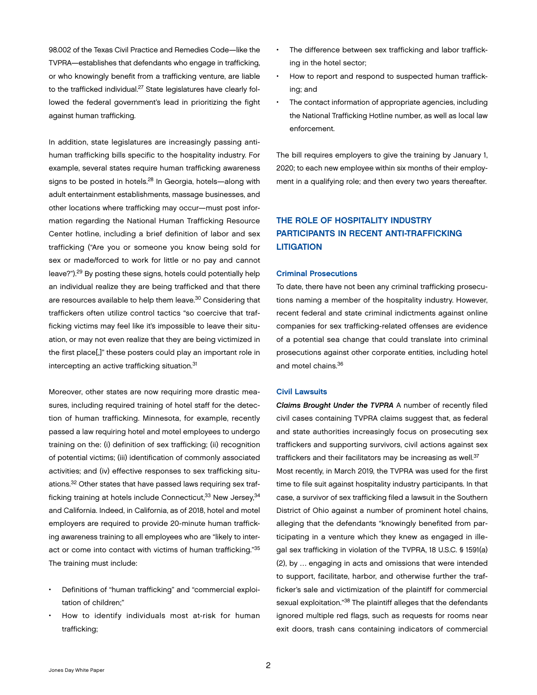<span id="page-3-0"></span>98.002 of the Texas Civil Practice and Remedies Code—like the TVPRA—establishes that defendants who engage in trafficking, or who knowingly benefit from a trafficking venture, are liable to the trafficked individual.<sup>27</sup> State legislatures have clearly followed the federal government's lead in prioritizing the fight against human trafficking.

In addition, state legislatures are increasingly passing antihuman trafficking bills specific to the hospitality industry. For example, several states require human trafficking awareness signs to be posted in hotels.28 In Georgia, hotels—along with adult entertainment establishments, massage businesses, and other locations where trafficking may occur—must post information regarding the National Human Trafficking Resource Center hotline, including a brief definition of labor and sex trafficking ("Are you or someone you know being sold for sex or made/forced to work for little or no pay and cannot leave?").29 By posting these signs, hotels could potentially help an individual realize they are being trafficked and that there are resources available to help them leave.<sup>30</sup> Considering that traffickers often utilize control tactics "so coercive that trafficking victims may feel like it's impossible to leave their situation, or may not even realize that they are being victimized in the first place[,]" these posters could play an important role in intercepting an active trafficking situation.<sup>31</sup>

Moreover, other states are now requiring more drastic measures, including required training of hotel staff for the detection of human trafficking. Minnesota, for example, recently passed a law requiring hotel and motel employees to undergo training on the: (i) definition of sex trafficking; (ii) recognition of potential victims; (iii) identification of commonly associated activities; and (iv) effective responses to sex trafficking situations.32 Other states that have passed laws requiring sex trafficking training at hotels include Connecticut, 33 New Jersey, 34 and California. Indeed, in California, as of 2018, hotel and motel employers are required to provide 20-minute human trafficking awareness training to all employees who are "likely to interact or come into contact with victims of human trafficking."35 The training must include:

- Definitions of "human trafficking" and "commercial exploitation of children;"
- How to identify individuals most at-risk for human trafficking;
- The difference between sex trafficking and labor trafficking in the hotel sector;
- How to report and respond to suspected human trafficking; and
- The contact information of appropriate agencies, including the National Trafficking Hotline number, as well as local law enforcement.

The bill requires employers to give the training by January 1, 2020; to each new employee within six months of their employment in a qualifying role; and then every two years thereafter.

# THE ROLE OF HOSPITALITY INDUSTRY PARTICIPANTS IN RECENT ANTI-TRAFFICKING **LITIGATION**

#### Criminal Prosecutions

To date, there have not been any criminal trafficking prosecutions naming a member of the hospitality industry. However, recent federal and state criminal indictments against online companies for sex trafficking-related offenses are evidence of a potential sea change that could translate into criminal prosecutions against other corporate entities, including hotel and motel chains.36

#### Civil Lawsuits

*Claims Brought Under the TVPRA* A number of recently filed civil cases containing TVPRA claims suggest that, as federal and state authorities increasingly focus on prosecuting sex traffickers and supporting survivors, civil actions against sex traffickers and their facilitators may be increasing as well.<sup>37</sup> Most recently, in March 2019, the TVPRA was used for the first time to file suit against hospitality industry participants. In that case, a survivor of sex trafficking filed a lawsuit in the Southern District of Ohio against a number of prominent hotel chains, alleging that the defendants "knowingly benefited from participating in a venture which they knew as engaged in illegal sex trafficking in violation of the TVPRA, 18 U.S.C. § 1591(a) (2), by … engaging in acts and omissions that were intended to support, facilitate, harbor, and otherwise further the trafficker's sale and victimization of the plaintiff for commercial sexual exploitation."38 The plaintiff alleges that the defendants ignored multiple red flags, such as requests for rooms near exit doors, trash cans containing indicators of commercial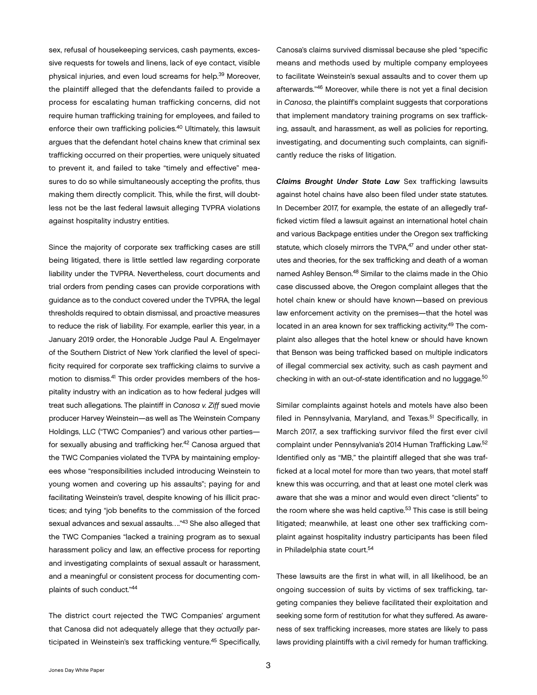sex, refusal of housekeeping services, cash payments, excessive requests for towels and linens, lack of eye contact, visible physical injuries, and even loud screams for help.39 Moreover, the plaintiff alleged that the defendants failed to provide a process for escalating human trafficking concerns, did not require human trafficking training for employees, and failed to enforce their own trafficking policies.<sup>40</sup> Ultimately, this lawsuit argues that the defendant hotel chains knew that criminal sex trafficking occurred on their properties, were uniquely situated to prevent it, and failed to take "timely and effective" measures to do so while simultaneously accepting the profits, thus making them directly complicit. This, while the first, will doubtless not be the last federal lawsuit alleging TVPRA violations against hospitality industry entities.

Since the majority of corporate sex trafficking cases are still being litigated, there is little settled law regarding corporate liability under the TVPRA. Nevertheless, court documents and trial orders from pending cases can provide corporations with guidance as to the conduct covered under the TVPRA, the legal thresholds required to obtain dismissal, and proactive measures to reduce the risk of liability. For example, earlier this year, in a January 2019 order, the Honorable Judge Paul A. Engelmayer of the Southern District of New York clarified the level of specificity required for corporate sex trafficking claims to survive a motion to dismiss.41 This order provides members of the hospitality industry with an indication as to how federal judges will treat such allegations. The plaintiff in *Canosa v. Ziff* sued movie producer Harvey Weinstein—as well as The Weinstein Company Holdings, LLC ("TWC Companies") and various other parties for sexually abusing and trafficking her.42 Canosa argued that the TWC Companies violated the TVPA by maintaining employees whose "responsibilities included introducing Weinstein to young women and covering up his assaults"; paying for and facilitating Weinstein's travel, despite knowing of his illicit practices; and tying "job benefits to the commission of the forced sexual advances and sexual assaults…."43 She also alleged that the TWC Companies "lacked a training program as to sexual harassment policy and law, an effective process for reporting and investigating complaints of sexual assault or harassment, and a meaningful or consistent process for documenting complaints of such conduct."44

The district court rejected the TWC Companies' argument that Canosa did not adequately allege that they *actually* participated in Weinstein's sex trafficking venture.45 Specifically,

Canosa's claims survived dismissal because she pled "specific means and methods used by multiple company employees to facilitate Weinstein's sexual assaults and to cover them up afterwards."46 Moreover, while there is not yet a final decision in *Canosa*, the plaintiff's complaint suggests that corporations that implement mandatory training programs on sex trafficking, assault, and harassment, as well as policies for reporting, investigating, and documenting such complaints, can significantly reduce the risks of litigation.

*Claims Brought Under State Law* Sex trafficking lawsuits against hotel chains have also been filed under state statutes. In December 2017, for example, the estate of an allegedly trafficked victim filed a lawsuit against an international hotel chain and various Backpage entities under the Oregon sex trafficking statute, which closely mirrors the TVPA,<sup>47</sup> and under other statutes and theories, for the sex trafficking and death of a woman named Ashley Benson.48 Similar to the claims made in the Ohio case discussed above, the Oregon complaint alleges that the hotel chain knew or should have known—based on previous law enforcement activity on the premises—that the hotel was located in an area known for sex trafficking activity.49 The complaint also alleges that the hotel knew or should have known that Benson was being trafficked based on multiple indicators of illegal commercial sex activity, such as cash payment and checking in with an out-of-state identification and no luggage.<sup>50</sup>

Similar complaints against hotels and motels have also been filed in Pennsylvania, Maryland, and Texas.<sup>51</sup> Specifically, in March 2017, a sex trafficking survivor filed the first ever civil complaint under Pennsylvania's 2014 Human Trafficking Law.52 Identified only as "MB," the plaintiff alleged that she was trafficked at a local motel for more than two years, that motel staff knew this was occurring, and that at least one motel clerk was aware that she was a minor and would even direct "clients" to the room where she was held captive.<sup>53</sup> This case is still being litigated; meanwhile, at least one other sex trafficking complaint against hospitality industry participants has been filed in Philadelphia state court.<sup>54</sup>

These lawsuits are the first in what will, in all likelihood, be an ongoing succession of suits by victims of sex trafficking, targeting companies they believe facilitated their exploitation and seeking some form of restitution for what they suffered. As awareness of sex trafficking increases, more states are likely to pass laws providing plaintiffs with a civil remedy for human trafficking.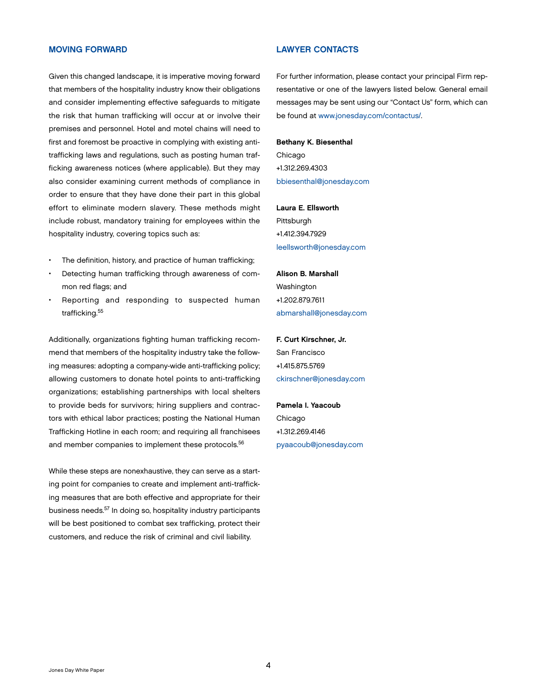#### <span id="page-5-0"></span>MOVING FORWARD

Given this changed landscape, it is imperative moving forward that members of the hospitality industry know their obligations and consider implementing effective safeguards to mitigate the risk that human trafficking will occur at or involve their premises and personnel. Hotel and motel chains will need to first and foremost be proactive in complying with existing antitrafficking laws and regulations, such as posting human trafficking awareness notices (where applicable). But they may also consider examining current methods of compliance in order to ensure that they have done their part in this global effort to eliminate modern slavery. These methods might include robust, mandatory training for employees within the hospitality industry, covering topics such as:

- The definition, history, and practice of human trafficking;
- Detecting human trafficking through awareness of common red flags; and
- Reporting and responding to suspected human trafficking.55

Additionally, organizations fighting human trafficking recommend that members of the hospitality industry take the following measures: adopting a company-wide anti-trafficking policy; allowing customers to donate hotel points to anti-trafficking organizations; establishing partnerships with local shelters to provide beds for survivors; hiring suppliers and contractors with ethical labor practices; posting the National Human Trafficking Hotline in each room; and requiring all franchisees and member companies to implement these protocols.<sup>56</sup>

While these steps are nonexhaustive, they can serve as a starting point for companies to create and implement anti-trafficking measures that are both effective and appropriate for their business needs.57 In doing so, hospitality industry participants will be best positioned to combat sex trafficking, protect their customers, and reduce the risk of criminal and civil liability.

#### LAWYER CONTACTS

For further information, please contact your principal Firm representative or one of the lawyers listed below. General email messages may be sent using our "Contact Us" form, which can be found at [www.jonesday.com/contactus/.](http://www.jonesday.com/contactus/)

#### Bethany K. Biesenthal

Chicago +1.312.269.4303 [bbiesenthal@jonesday.com](mailto:bbiesenthal@jonesday.com)

#### Laura E. Ellsworth

Pittsburgh +1.412.394.7929 [leellsworth@jonesday.com](mailto:leellsworth@jonesday.com)

#### Alison B. Marshall

Washington +1.202.879.7611 [abmarshall@jonesday.com](mailto:abmarshall@jonesday.com)

# F. Curt Kirschner, Jr. San Francisco +1.415.875.5769

[ckirschner@jonesday.com](mailto:ckirschner@jonesday.com)

# Pamela I. Yaacoub Chicago +1.312.269.4146 [pyaacoub@jonesday.com](mailto:pyaacoub@jonesday.com)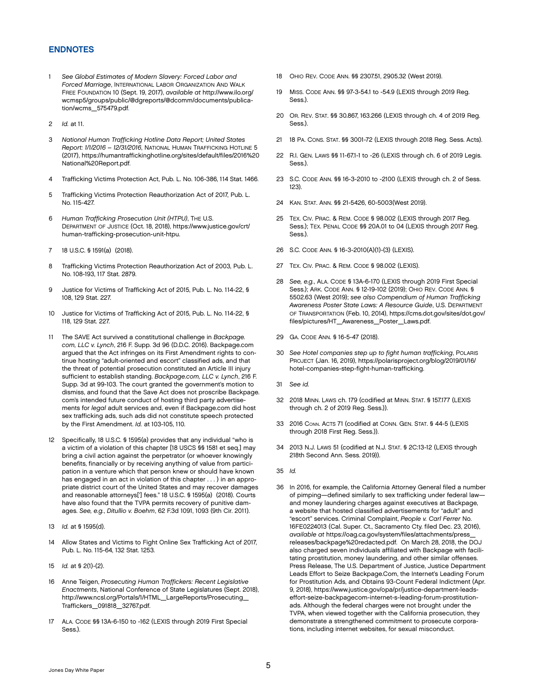#### <span id="page-6-0"></span>ENDNOTES

- 1 *See Global Estimates of Modern Slavery: Forced Labor and Forced Marriage*, INTERNATIONAL LABOR ORGANIZATION AND WALK FREE FOUNDATION 10 (Sept. 19, 2017), *available at* http://www.ilo.org/ wcmsp5/groups/public/@dgreports/@dcomm/documents/publication/wcms\_575479.pdf.
- 2 *Id.* at 11.
- 3 *National Human Trafficking Hotline Data Report; United States Report: 1/1/2016 – 12/31/2016*, NATIONAL HUMAN TRAFFICKING HOTLINE 5 (2017), https://humantraffickinghotline.org/sites/default/files/2016%20 National%20Report.pdf.
- 4 Trafficking Victims Protection Act, Pub. L. No. 106-386, 114 Stat. 1466.
- 5 Trafficking Victims Protection Reauthorization Act of 2017, Pub. L. No. 115-427.
- 6 *Human Trafficking Prosecution Unit (HTPU)*, THE U.S. DEPARTMENT OF JUSTICE (Oct. 18, 2018), https://www.justice.gov/crt/ human-trafficking-prosecution-unit-htpu.
- 7 18 U.S.C. § 1591(a) (2018).
- 8 Trafficking Victims Protection Reauthorization Act of 2003, Pub. L. No. 108-193, 117 Stat. 2879.
- 9 Justice for Victims of Trafficking Act of 2015, Pub. L. No. 114-22, § 108, 129 Stat. 227.
- 10 Justice for Victims of Trafficking Act of 2015, Pub. L. No. 114-22, § 118, 129 Stat. 227.
- 11 The SAVE Act survived a constitutional challenge in *Backpage. com, LLC v. Lynch*, 216 F. Supp. 3d 96 (D.D.C. 2016). Backpage.com argued that the Act infringes on its First Amendment rights to continue hosting "adult-oriented and escort" classified ads, and that the threat of potential prosecution constituted an Article III injury sufficient to establish standing. *Backpage.com, LLC v. Lynch*, 216 F. Supp. 3d at 99-103. The court granted the government's motion to dismiss, and found that the Save Act does not proscribe Backpage. com's intended future conduct of hosting third party advertisements for *legal* adult services and, even if Backpage.com did host sex trafficking ads, such ads did not constitute speech protected by the First Amendment. *Id.* at 103-105, 110.
- 12 Specifically, 18 U.S.C. § 1595(a) provides that any individual "who is a victim of a violation of this chapter [18 USCS §§ 1581 et seq.] may bring a civil action against the perpetrator (or whoever knowingly benefits, financially or by receiving anything of value from participation in a venture which that person knew or should have known has engaged in an act in violation of this chapter . . . ) in an appropriate district court of the United States and may recover damages and reasonable attorneys['] fees." 18 U.S.C. § 1595(a) (2018). Courts have also found that the TVPA permits recovery of punitive damages. *See, e.g.*, *Ditullio v. Boehm*, 62 F.3d 1091, 1093 (9th Cir. 2011).
- 13 *Id.* at § 1595(d).
- 14 Allow States and Victims to Fight Online Sex Trafficking Act of 2017, Pub. L. No. 115-64, 132 Stat. 1253.
- 15 *Id.* at § 2(1)-(2).
- 16 Anne Teigen, *Prosecuting Human Traffickers: Recent Legislative Enactments*, National Conference of State Legislatures (Sept. 2018), http://www.ncsl.org/Portals/1/HTML\_LargeReports/Prosecuting\_ Traffickers\_091818\_32767.pdf.
- 17 ALA. CODE §§ 13A-6-150 to -162 (LEXIS through 2019 First Special Sess.).
- 18 OHIO REV. CODE ANN. §§ 2307.51, 2905.32 (West 2019).
- 19 MISS. CODE ANN. §§ 97-3-54.1 to -54.9 (LEXIS through 2019 Reg. Sess.).
- 20 OR. REV. STAT. §§ 30.867, 163.266 (LEXIS through ch. 4 of 2019 Reg. Sess.).
- 21 18 PA. CONS. STAT. §§ 3001-72 (LEXIS through 2018 Reg. Sess. Acts).
- 22 R.I. GEN. LAWS §§ 11-67.1-1 to -26 (LEXIS through ch. 6 of 2019 Legis. Sess.).
- 23 S.C. CODE ANN. §§ 16-3-2010 to -2100 (LEXIS through ch. 2 of Sess. 123).
- 24 KAN. STAT. ANN. §§ 21-5426, 60-5003(West 2019).
- 25 TEX. CIV. PRAC. & REM. CODE § 98.002 (LEXIS through 2017 Reg. Sess.); TEX. PENAL CODE §§ 20A.01 to 04 (LEXIS through 2017 Reg. Sess.).
- 26 S.C. CODE ANN. § 16-3-2010(A)(1)-(3) (LEXIS).
- 27 TEX. CIV. PRAC. & REM. CODE § 98.002 (LEXIS).
- 28 *See, e.g.*, ALA. CODE § 13A-6-170 (LEXIS through 2019 First Special Sess.); ARK. CODE ANN. § 12-19-102 (2019); OHIO REV. CODE ANN. § 5502.63 (West 2019); *see also Compendium of Human Trafficking Awareness Poster State Laws: A Resource Guide*, U.S. DEPARTMENT OF TRANSPORTATION (Feb. 10, 2014), [https://cms.dot.gov/sites/dot.gov/](https://cms.dot.gov/sites/dot.gov/files/pictures/HT_Awareness_Poster_Laws.pdf) [files/pictures/HT\\_Awareness\\_Poster\\_Laws.pdf.](https://cms.dot.gov/sites/dot.gov/files/pictures/HT_Awareness_Poster_Laws.pdf)
- 29 GA. CODE ANN. § 16-5-47 (2018).
- 30 *See Hotel companies step up to fight human trafficking*, POLARIS PROJECT (Jan. 16, 2019), https://polarisproject.org/blog/2019/01/16/ hotel-companies-step-fight-human-trafficking.
- 31 *See id.*
- 32 2018 MINN. LAWS ch. 179 (codified at MINN. STAT. § 157.177 (LEXIS through ch. 2 of 2019 Reg. Sess.)).
- 33 2016 CONN. ACTS 71 (codified at CONN. GEN. STAT. § 44-5 (LEXIS through 2018 First Reg. Sess.)).
- 34 2013 N.J. LAWS 51 (codified at N.J. STAT. § 2C:13-12 (LEXIS through 218th Second Ann. Sess. 2019)).
- 35 *Id.*
- 36 In 2016, for example, the California Attorney General filed a number of pimping—defined similarly to sex trafficking under federal law and money laundering charges against executives at Backpage, a website that hosted classified advertisements for "adult" and "escort" services. Criminal Complaint, *People v. Carl Ferrer* No. 16FE0224013 (Cal. Super. Ct., Sacramento Cty. filed Dec. 23, 2016), *available at* https://oag.ca.gov/system/files/attachments/press\_ releases/backpage%20redacted.pdf. On March 28, 2018, the DOJ also charged seven individuals affiliated with Backpage with facilitating prostitution, money laundering, and other similar offenses. Press Release, The U.S. Department of Justice, Justice Department Leads Effort to Seize Backpage.Com, the Internet's Leading Forum for Prostitution Ads, and Obtains 93-Count Federal Indictment (Apr. 9, 2018), [https://www.justice.gov/opa/pr/justice-department-leads](https://www.justice.gov/opa/pr/justice-department-leads-effort-seize-backpagecom-internet-s-leading-forum-prostitution-ads)[effort-seize-backpagecom-internet-s-leading-forum-prostitution](https://www.justice.gov/opa/pr/justice-department-leads-effort-seize-backpagecom-internet-s-leading-forum-prostitution-ads)[ads.](https://www.justice.gov/opa/pr/justice-department-leads-effort-seize-backpagecom-internet-s-leading-forum-prostitution-ads) Although the federal charges were not brought under the TVPA, when viewed together with the California prosecution, they demonstrate a strengthened commitment to prosecute corporations, including internet websites, for sexual misconduct.